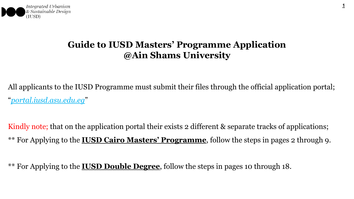

# **Guide to IUSD Masters' Programme Application @Ain Shams University**

All applicants to the IUSD Programme must submit their files through the official application portal; "*portal.iusd.asu.edu.eg*"

Kindly note; that on the application portal their exists 2 different & separate tracks of applications; \*\* For Applying to the **IUSD Cairo Masters' Programme**, follow the steps in pages 2 through 9.

\*\* For Applying to the **IUSD Double Degree**, follow the steps in pages 10 through 18.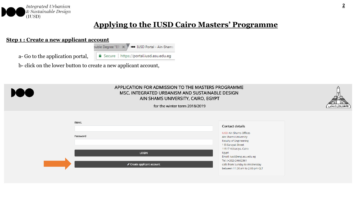

### **Step 1 : Create a new applicant account**

buble Degree "EPI" X 100 IUSD Portal - Ain-Shams a- Go to the application portal, Secure | https://portal.iusd.asu.edu.eg

b- click on the lower button to create a new applicant account,



#### APPLICATION FOR ADMISSION TO THE MASTERS PROGRAMME MSC. INTEGRATED URBANISM AND SUSTAINABLE DESIGN AIN SHAMS UNIVERSITY, CAIRO, EGYPT



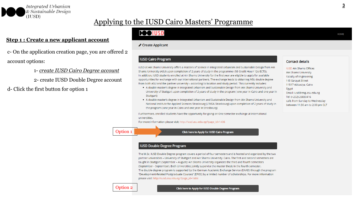

#### **Step 1 : Create a new applicant account**

c- On the application creation page, you are offered 2 account options:

1- *create IUSD Cairo Degree account*

2- create IUSD Double Degree account

d- Click the first button for option 1

# **POOIUSD**

✔ Create Applicant

#### **IUSD Cairo Program**

IUSD at Ain Shams University offers a Masters of Science in Integrated Urbanism and Sustainable Design from Ain Shams University (ASU) upon completion of 2 years of study in the programme (58 Credit Hour/ 12o ECTS). In addition, IUSD students enrolled at Ain Shams University for the first year are eligible to apply for available opportunities for exchange with our international partners. The exchange leads to obtaining MSc double degree from both ASU and the partner university - according to location and study period. This currently includes:

- A double master's degree in Integrated Urbanism and Sustainable Design from Ain Shams University and University of Stuttgart upon completion of 2 years of study in the program (one year in Cairo and one year in Stuttgart)
- . A double master's degree in Integrated Urbanism and Sustainable Design from Ain Shams University and National Institute for Applied Sciences Strasbourg (L'INSA Strasbourg) upon completion of 2 years of study in the program (one year in Cairo and one year in Strasbourg)

Furthermore, enrolled students have the opportunity for going on One semester exchange at international universities

For more information please visit: http://iusd.asu.edu.eg/?page\_id=1406

#### Option 1

Click here to Apply for IUSD Cairo Program

#### **IUSD Double Degree Program**

The M.Sc. IUSD Double Degree program covers a period of four semesters and is hosted and organized by the two partner universities - University of Stuttgart and Ain Shams University, Cairo. The first and second semesters are taught in Stuttgart (September - August); Ain Shams University organizes the third and fourth semesters (September - September). Both Universities jointly supervise the master thesis in the fourth semester. The double-degree program is supported by the German Academic Exchange Service (DAAD) through the program "Development-Related Postgraduate Courses" (EPOS) by a limited number of scholarships. For more information please visit: http://iusd.asu.edu.eg/?page\_id=1404

#### **Contact details**

**IUSD Ain Shams Offices** Ain Shams University Faculty of Engineering 1 El-Sarayat Street 11517 Abbasiya, Cairo Egypt Email: iusd@eng.asu.edu.eg Tel: (+202) 26830416 calls from Sunday to Wednesday between 11:30 am to 2:00 pm CLT **HOME** 

#### Option 2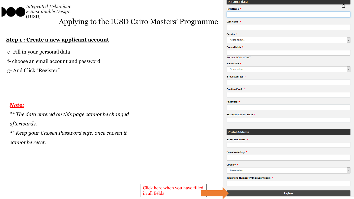

### **Step 1 : Create a new applicant account**

- e- Fill in your personal data
- f- choose an email account and password
- g- And Click "Register"

### *Note:*

- *\*\* The data entered on this page cannot be changed afterwards.*
- *\*\* Keep your Chosen Password safe, once chosen it cannot be reset.*

| Last Name *                            |  |
|----------------------------------------|--|
| Gender *                               |  |
| Please select                          |  |
| Date of birth *                        |  |
| Format: DD/MM/YYYY                     |  |
| Nationality *                          |  |
| Please select                          |  |
| E-mail Address *                       |  |
| Confirm Email *                        |  |
| Password *                             |  |
| Password Confirmation *                |  |
|                                        |  |
| <b>Postal Address</b>                  |  |
| Street & number *                      |  |
| Postal code/City *                     |  |
| Country *                              |  |
| Please select                          |  |
| Telephone Number (with country code) * |  |

#### Click here when you have filled in all fields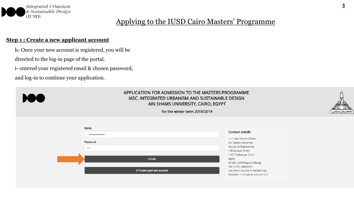

### **Step 1 : Create a new applicant account**

- h- Once your new account is registered, you will be
- directed to the log-in page of the portal.
- i- entered your registered email & chosen password,
- and log-in to continue your application.



#### APPLICATION FOR ADMISSION TO THE MASTERS PROGRAMME MSC. INTEGRATED URBANISM AND SUSTAINABLE DESIGN AIN SHAMS UNIVERSITY, CAIRO, EGYPT



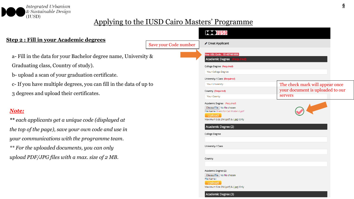

|                                                                                                           |                       | <b>POOIUSD</b>                                                                                                                                          |                                  |
|-----------------------------------------------------------------------------------------------------------|-----------------------|---------------------------------------------------------------------------------------------------------------------------------------------------------|----------------------------------|
| <b>Step 2 : Fill in your Academic degrees</b>                                                             | Save your Code number | ✔ Creat Applicant                                                                                                                                       |                                  |
| a- Fill in the data for your Bachelor degree name, University &                                           |                       | Your ASU Code: 151437481836<br><b>Academic Degree</b>                                                                                                   |                                  |
| Graduating class, Country of study).                                                                      |                       | College Degree (Required)                                                                                                                               |                                  |
| b-upload a scan of your graduation certificate.                                                           |                       | Your College Degree                                                                                                                                     |                                  |
| c- If you have multiple degrees, you can fill in the data of up to                                        |                       | University / Class (Required)<br><b>Your University</b>                                                                                                 | The check mark will appear once  |
|                                                                                                           |                       | Country (Required)                                                                                                                                      | your document is uploaded to our |
| 3 degrees and upload their certificates.                                                                  |                       | <b>Your County</b>                                                                                                                                      | servers                          |
| Note:                                                                                                     |                       | Academic Degree (Required)<br>Choose File   No file chosen<br>File Name: Trails for Call Poster-2.pdf<br>Upload<br>Maximum Size 2M (.pdf) & (.jpg) Only |                                  |
| ** each applicants get a unique code (displayed at<br>the top of the page), save your own code and use in |                       | Academic Degree (2)                                                                                                                                     |                                  |
| your communications with the programme team.                                                              |                       | College Degree                                                                                                                                          |                                  |
| ** For the uploaded documents, you can only                                                               |                       | University / Class                                                                                                                                      |                                  |
| upload PDF/JPG files with a max. size of 2 MB.                                                            |                       | Country                                                                                                                                                 |                                  |
|                                                                                                           |                       | Academic Degree (2)<br>Choose File   No file chosen<br>File Name:<br>Upload<br>Maximum Size 2M (.pdf) & (.jpg) Only<br>Academic Degree (3)              |                                  |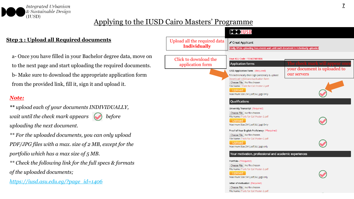

# **Step 3 : Upload all Required documents**

a- Once you have filled in your Bachelor degree data, move on to the next page and start uploading the required documents. b- Make sure to download the appropriate application form from the provided link, fill it, sign it and upload it.

### *Note:*

*\*\* upload each of your documents INDIVIDUALLY, wait until the check mark appears*  $\Box$  *before uploading the next document.*

*\*\* For the uploaded documents, you can only upload PDF/JPG files with a max. size of 2 MB, except for the portfolio which has a max size of 5 MB.*

*\*\* Check the following link for the full specs & formats of the uploaded documents;*

*https://iusd.asu.edu.eg/?page\_id=1406*

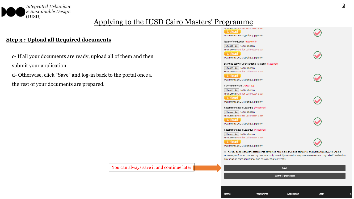

# **Step 3 : Upload all Required documents**

- c- If all your documents are ready, upload all of them and then submit your application.
- d- Otherwise, click "Save" and log-in back to the portal once a the rest of your documents are prepared.

|  | You can always save it and continue later |  |
|--|-------------------------------------------|--|

| ns rearre rituna for can't open<br>Upload<br>Maximum Size 5M (.pdf) & (.jpg) only<br>letter of motivation (Required)<br>Choose File No file chosen<br>File Name : Trails for Call Poster-2.pdf<br>Upload<br>Maximum Size 2M (.pdf) & (.jpg) only<br>Scanned copy of your National Passport (Required)<br>Choose File   No file chosen<br>File Name : Trails for Call Poster-2.pdf<br><b>Upload</b><br>Maximum Size 2M (.pdf) & (.jpg) only<br>Curriculum Vitae (Required)<br>Choose File   No file chosen<br>File Name : Trails for Call Poster-2.pdf<br>Upload<br>Maximum Size 2M (.pdf) & (.jpg) only |  |
|---------------------------------------------------------------------------------------------------------------------------------------------------------------------------------------------------------------------------------------------------------------------------------------------------------------------------------------------------------------------------------------------------------------------------------------------------------------------------------------------------------------------------------------------------------------------------------------------------------|--|
|                                                                                                                                                                                                                                                                                                                                                                                                                                                                                                                                                                                                         |  |
|                                                                                                                                                                                                                                                                                                                                                                                                                                                                                                                                                                                                         |  |
|                                                                                                                                                                                                                                                                                                                                                                                                                                                                                                                                                                                                         |  |
|                                                                                                                                                                                                                                                                                                                                                                                                                                                                                                                                                                                                         |  |
|                                                                                                                                                                                                                                                                                                                                                                                                                                                                                                                                                                                                         |  |
|                                                                                                                                                                                                                                                                                                                                                                                                                                                                                                                                                                                                         |  |
|                                                                                                                                                                                                                                                                                                                                                                                                                                                                                                                                                                                                         |  |
|                                                                                                                                                                                                                                                                                                                                                                                                                                                                                                                                                                                                         |  |
|                                                                                                                                                                                                                                                                                                                                                                                                                                                                                                                                                                                                         |  |
|                                                                                                                                                                                                                                                                                                                                                                                                                                                                                                                                                                                                         |  |
|                                                                                                                                                                                                                                                                                                                                                                                                                                                                                                                                                                                                         |  |
|                                                                                                                                                                                                                                                                                                                                                                                                                                                                                                                                                                                                         |  |
|                                                                                                                                                                                                                                                                                                                                                                                                                                                                                                                                                                                                         |  |
|                                                                                                                                                                                                                                                                                                                                                                                                                                                                                                                                                                                                         |  |
|                                                                                                                                                                                                                                                                                                                                                                                                                                                                                                                                                                                                         |  |
|                                                                                                                                                                                                                                                                                                                                                                                                                                                                                                                                                                                                         |  |
| Recommendation Letter (1) (*Required)                                                                                                                                                                                                                                                                                                                                                                                                                                                                                                                                                                   |  |
| Choose File   No file chosen                                                                                                                                                                                                                                                                                                                                                                                                                                                                                                                                                                            |  |
| File Name : Trails for Call Poster-2.pdf                                                                                                                                                                                                                                                                                                                                                                                                                                                                                                                                                                |  |
| Upload                                                                                                                                                                                                                                                                                                                                                                                                                                                                                                                                                                                                  |  |
| Maximum Size 2M (.pdf) & (.jpg) only                                                                                                                                                                                                                                                                                                                                                                                                                                                                                                                                                                    |  |
| Recommendation Letter (2) (*Required)                                                                                                                                                                                                                                                                                                                                                                                                                                                                                                                                                                   |  |
| Choose File   No file chosen                                                                                                                                                                                                                                                                                                                                                                                                                                                                                                                                                                            |  |
| File Name : Trails for Call Poster-2.pdf                                                                                                                                                                                                                                                                                                                                                                                                                                                                                                                                                                |  |
| Upload                                                                                                                                                                                                                                                                                                                                                                                                                                                                                                                                                                                                  |  |
| Maximum Size 2M (.pdf) & (.jpg) only                                                                                                                                                                                                                                                                                                                                                                                                                                                                                                                                                                    |  |
| If I hereby declare that the statements contained herein are true and complete, and herewith allow Ain-Shams                                                                                                                                                                                                                                                                                                                                                                                                                                                                                            |  |
| University to further process my data internally. i am fully aware that any false statements on my behalf can lead t                                                                                                                                                                                                                                                                                                                                                                                                                                                                                    |  |
| an exclusion from admittance and enrolment at university.                                                                                                                                                                                                                                                                                                                                                                                                                                                                                                                                               |  |
| Save                                                                                                                                                                                                                                                                                                                                                                                                                                                                                                                                                                                                    |  |

**Submit Application** 

Programme

Application

Staff

Home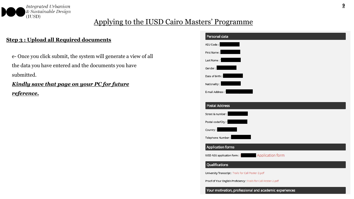

### **Step 3 : Upload all Required documents**

e- Once you click submit, the system will generate a view of all the data you have entered and the documents you have submitted.

# *Kindly save that page on your PC for future reference.*

| Personal data                                                    |
|------------------------------------------------------------------|
| ASU Code:                                                        |
| <u>e de la provincia de la p</u><br>First Name:                  |
| Last Name:                                                       |
| Gender:                                                          |
| Date of birth:                                                   |
| Nationality: I                                                   |
| E-mail Address:                                                  |
|                                                                  |
| <b>Postal Address</b>                                            |
| Street & number :                                                |
| Postal code/City:                                                |
| Country:                                                         |
| Telephone Number:                                                |
| <b>Application forms</b>                                         |
| <b>Application form</b><br>IUSD ASU application form:            |
| Qualifications                                                   |
| University Transcript : Trails for Call Poster-2.pdf             |
| Proof of Your English Proficiency : Trails for Call Poster-2.pdf |
| Your motivation, professional and academic experiences           |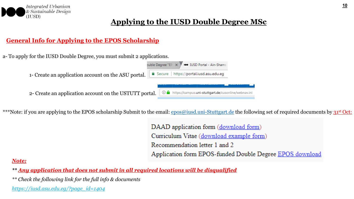

# **General Info for Applying to the EPOS Scholarship**

a- To apply for the IUSD Double Degree, you must submit 2 applications.

1- Create an application account on the ASU portal.

Secure | https://portal.iusd.asu.edu.eq

2- Create an application account on the USTUTT portal.

| ① A https://campus.uni-stuttgart.de/cusonline/webnav.ini |  |  |
|----------------------------------------------------------|--|--|

**100 IUSD Portal - Ain-Shams** 

\*\*\*Note: if you are applying to the EPOS scholarship Submit to the email: [epos@iusd.uni-Stuttgart.de](mailto:epos@iusd.uni-Stuttgart.de) the following set of required documents by 31<sup>st</sup> Oct:

puble Degree "EPC X

DAAD application form (download form) Curriculum Vitae (download example form) Recommendation letter 1 and 2 Application form EPOS-funded Double Degree EPOS download

# *Note:*

*\*\* Any application that does not submit in all required locations will be disqualified*

*\*\* Check the following link for the full info & documents*

*https://iusd.asu.edu.eg/?page\_id=1404*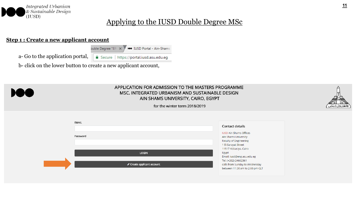

### **Step 1 : Create a new applicant account**

a- Go to the application portal,

△ Secure | https://portal.iusd.asu.edu.eg

**100 IUSD Portal - Ain-Shams** 

b- click on the lower button to create a new applicant account,

buble Degree "EPI" X



#### APPLICATION FOR ADMISSION TO THE MASTERS PROGRAMME MSC. INTEGRATED URBANISM AND SUSTAINABLE DESIGN AIN SHAMS UNIVERSITY, CAIRO, EGYPT



| <b>EMAIL</b>             | Contact details                                                                                               |
|--------------------------|---------------------------------------------------------------------------------------------------------------|
| Password                 | <b>IUSD Ain Shams Offices</b><br>Ain Shams University<br><b>Faculty of Engineering</b><br>1 El-Sarayat Street |
| <b>LOGIN</b>             | 11517 Abbasiya, Cairo<br>Egypt<br>Email: iusd@eng.asu.edu.eg                                                  |
| Create applicant account | Tel: (+202) 24662361<br>calls from Sunday to Wednesday<br>between 11:30 am to 2:00 pm CLT                     |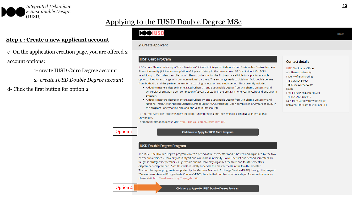

#### **Step 1 : Create a new applicant account**

c- On the application creation page, you are offered 2 account options:

1- create IUSD Cairo Degree account

2- *create IUSD Double Degree account*

d- Click the first button for option 2

# **POOLUSD**

✔ Create Applicant

#### **IUSD Cairo Program**

IUSD at Ain Shams University offers a Masters of Science in Integrated Urbanism and Sustainable Design from Ain Shams University (ASU) upon completion of 2 years of study in the programme (58 Credit Hour/ 12o ECTS). In addition, IUSD students enrolled at Ain Shams University for the first year are eligible to apply for available opportunities for exchange with our international partners. The exchange leads to obtaining MSc double degree from both ASU and the partner university - according to location and study period. This currently includes:

- . A double master's degree in Integrated Urbanism and Sustainable Design from Ain Shams University and University of Stuttgart upon completion of 2 years of study in the program (one year in Cairo and one year in Stuttgart)
- . A double master's degree in Integrated Urbanism and Sustainable Design from Ain Shams University and National Institute for Applied Sciences Strasbourg (L'INSA Strasbourg) upon completion of 2 years of study in the program (one year in Cairo and one year in Strasbourg)

Furthermore, enrolled students have the opportunity for going on One semester exchange at international universities

For more information please visit: http://iusd.asu.edu.eg/?page\_id=1406

#### Option 1

#### Click here to Apply for IUSD Cairo Program

#### **IUSD Double Degree Program**

The M.Sc. IUSD Double Degree program covers a period of four semesters and is hosted and organized by the two partner universities - University of Stuttgart and Ain Shams University, Cairo. The first and second semesters are taught in Stuttgart (September - August); Ain Shams University organizes the third and fourth semesters (September - September). Both Universities jointly supervise the master thesis in the fourth semester. The double-degree program is supported by the German Academic Exchange Service (DAAD) through the program "Development-Related Postgraduate Courses" (EPOS) by a limited number of scholarships. For more information please visit: http://iusd.asu.edu.eg/?page\_id=1404

#### Option 2

#### **HOME**

**IUSD Ain Shams Offices** Ain Shams University Faculty of Engineering 1 El-Sarayat Street 11517 Abbasiya, Cairo Egypt Email: iusd@eng.asu.edu.eg Tel: (+202) 26830416 calls from Sunday to Wednesday between 11:30 am to 2:00 pm CLT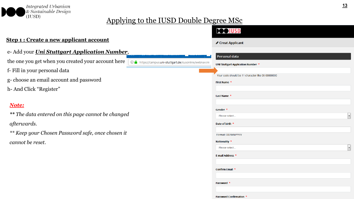

① △ https://campus.uni-stuttgart.de/cusonline/webnav.ini

### **Step 1 : Create a new applicant account**

### e- Add your *Uni Stuttgart Application Number*,

the one you get when you created your account here

- f- Fill in your personal data
- g- choose an email account and password
- h- And Click "Register"

# *Note:*

- *\*\* The data entered on this page cannot be changed afterwards.*
- *\*\* Keep your Chosen Password safe, once chosen it cannot be reset.*

| <b>DOO IUSD</b>                                   |
|---------------------------------------------------|
| ✔ Creat Applicant                                 |
| Personal data                                     |
| UNI Stuttgart Application Number *                |
| Your code should be 11 character like 00-00000000 |
| First Name *                                      |
|                                                   |
| Last Name *                                       |
| Gender *                                          |
| Please select<br>۰                                |
| Date of birth *                                   |
| Format: DD/MM/YYYY                                |
| Nationality *                                     |
| Please select<br>$\overline{\phantom{0}}$         |
| E-mail Address *                                  |
| Confirm Email *                                   |
|                                                   |
| Password *                                        |
|                                                   |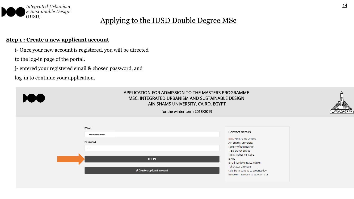

### **Step 1 : Create a new applicant account**

- i- Once your new account is registered, you will be directed
- to the log-in page of the portal.
- j- entered your registered email & chosen password, and
- log-in to continue your application.



#### APPLICATION FOR ADMISSION TO THE MASTERS PROGRAMME MSC. INTEGRATED URBANISM AND SUSTAINABLE DESIGN AIN SHAMS UNIVERSITY, CAIRO, EGYPT



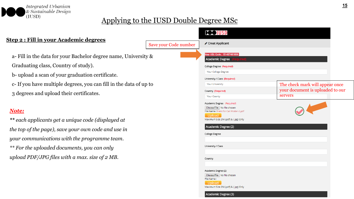

|                                                                                                                                                                                                                                                                            |                       | <b>DOOIUSD</b>                                                                                                                                                                                                                                                                                                                                                                                 |                                                                     |
|----------------------------------------------------------------------------------------------------------------------------------------------------------------------------------------------------------------------------------------------------------------------------|-----------------------|------------------------------------------------------------------------------------------------------------------------------------------------------------------------------------------------------------------------------------------------------------------------------------------------------------------------------------------------------------------------------------------------|---------------------------------------------------------------------|
| <b>Step 2 : Fill in your Academic degrees</b>                                                                                                                                                                                                                              | Save your Code number | ✔ Creat Applicant                                                                                                                                                                                                                                                                                                                                                                              |                                                                     |
| a- Fill in the data for your Bachelor degree name, University &                                                                                                                                                                                                            |                       | Your ASU Code: 151437481836<br>Academic Degree                                                                                                                                                                                                                                                                                                                                                 |                                                                     |
| Graduating class, Country of study).                                                                                                                                                                                                                                       |                       | College Degree (Required)                                                                                                                                                                                                                                                                                                                                                                      |                                                                     |
| b-upload a scan of your graduation certificate.                                                                                                                                                                                                                            |                       | Your College Degree                                                                                                                                                                                                                                                                                                                                                                            |                                                                     |
|                                                                                                                                                                                                                                                                            |                       | University / Class (Required)<br>Your University                                                                                                                                                                                                                                                                                                                                               |                                                                     |
| c- If you have multiple degrees, you can fill in the data of up to                                                                                                                                                                                                         |                       | Country (Required)                                                                                                                                                                                                                                                                                                                                                                             | The check mark will appear once<br>your document is uploaded to our |
| 3 degrees and upload their certificates.                                                                                                                                                                                                                                   |                       | <b>Your County</b>                                                                                                                                                                                                                                                                                                                                                                             | servers                                                             |
| <b>Note:</b><br>** each applicants get a unique code (displayed at<br>the top of the page), save your own code and use in<br>your communications with the programme team.<br>** For the uploaded documents, you can only<br>upload PDF/JPG files with a max. size of 2 MB. |                       | Academic Degree (Required)<br>Choose File   No file chosen<br>File Name : Trails for Call Poster-2.pdf<br>Upload<br>Maximum Size 2M (.pdf) & (.jpg) Only<br>Academic Degree (2)<br><b>College Degree</b><br>University / Class<br>Country<br>Academic Degree (2)<br>Choose File   No file chosen<br>File Name:<br><b>Upload</b><br>Maximum Size 2M (.pdf) & (.jpg) Only<br>Academic Degree (3) |                                                                     |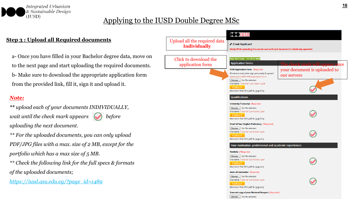

### **Step 3 : Upload all Required documents**

a- Once you have filled in your Bachelor degree data, move on to the next page and start uploading the required documents. b- Make sure to download the appropriate application form from the provided link, fill it, sign it and upload it.

### *Note:*

*\*\* upload each of your documents INDIVIDUALLY, wait until the check mark appears*  $\bigcirc$  *before uploading the next document.*

*\*\* For the uploaded documents, you can only upload PDF/JPG files with a max. size of 2 MB, except for the portfolio which has a max size of 5 MB.*

*\*\* Check the following link for the full specs & formats of the uploaded documents;*

*https://iusd.asu.edu.eg/?page\_id=1489*

|                                                     | <b>POOTUSD</b>                                                                                                                                                                   |                                             |  |  |
|-----------------------------------------------------|----------------------------------------------------------------------------------------------------------------------------------------------------------------------------------|---------------------------------------------|--|--|
| Upload all the required data<br><b>Individually</b> | ✔ Creat Applicant<br>Kindly While uploading Documents wait until each document is individually uploaded                                                                          |                                             |  |  |
| Click to download the                               | Your ASU Code: 151447373838                                                                                                                                                      |                                             |  |  |
| application form                                    | <b>Application forms</b>                                                                                                                                                         | check mark will appear<br>once              |  |  |
|                                                     | <b>IUSD Application Form</b> (Required)<br>fill electronically then sign personally & upload<br>Download IUSD DoubleApplication Form                                             | your document is uploaded to<br>our servers |  |  |
|                                                     | Browse   No file selected.<br>File Name: Trails for Call Poster-2.pdf<br>Upload<br>Maximum Size 2M (.pdf) & (.jpg) Only                                                          |                                             |  |  |
|                                                     | <b>Qualifications</b>                                                                                                                                                            |                                             |  |  |
|                                                     | <b>University Transcript</b> (Required)<br>Browse   No file selected.<br>File Name : Trails for Call Poster-2.pdf<br>Upload                                                      |                                             |  |  |
|                                                     | Maximum Size 2M (.pdf) & (.jpg) Only<br>Proof of Your English Proficiency (*Required)<br>Browse   No file selected.<br>File Name : Trails for Call Poster-2.pdf<br><b>Upload</b> |                                             |  |  |
|                                                     | Maximum Size 2M (.pdf) & (.jpg) only                                                                                                                                             |                                             |  |  |
|                                                     | Your motivation, professional and academic experiences                                                                                                                           |                                             |  |  |
|                                                     | Portfolio (*Required)<br>Browse   No file selected.<br>File Name : Trails for Call Poster-2.pdf<br>Upload<br>Maximum Size 5M (.pdf) & (.jpg) only                                |                                             |  |  |
|                                                     | letter of motivation (Required)<br>Browse   No file selected.<br>File Name : Trails for Call Poster-2.pdf<br>Upload<br>Maximum Size 2M (.pdf) & (.jpg) only                      |                                             |  |  |
|                                                     | Scanned copy of your National Passport (Required)<br>Browse   No file selected.                                                                                                  |                                             |  |  |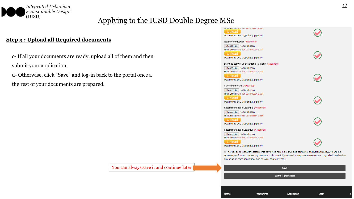

### **Step 3 : Upload all Required documents**

- c- If all your documents are ready, upload all of them and then submit your application.
- d- Otherwise, click "Save" and log-in back to the portal once a the rest of your documents are prepared.

|  | You can always save it and continue later |  |
|--|-------------------------------------------|--|
|  |                                           |  |

| <b>NATURE ETTERING TWO SCUTTS SOURCE</b><br>Upload                                                                   |  |
|----------------------------------------------------------------------------------------------------------------------|--|
| Maximum Size 5M (.pdf) & (.jpg) only                                                                                 |  |
| letter of motivation (Required)                                                                                      |  |
| Choose File   No file chosen                                                                                         |  |
| File Name : Trails for Call Poster-2.pdf                                                                             |  |
| Upload                                                                                                               |  |
| Maximum Size 2M (.pdf) & (.jpg) only                                                                                 |  |
| Scanned copy of your National Passport (Required)                                                                    |  |
| Choose File   No file chosen                                                                                         |  |
| File Name : Trails for Call Poster-2.pdf                                                                             |  |
| Upload                                                                                                               |  |
| Maximum Size 2M (.pdf) & (.jpg) only                                                                                 |  |
| Curriculum Vitae (Required)                                                                                          |  |
| Choose File   No file chosen                                                                                         |  |
| File Name : Trails for Call Poster-2.pdf                                                                             |  |
| Upload                                                                                                               |  |
| Maximum Size 2M (.pdf) & (.jpg) only                                                                                 |  |
| Recommendation Letter (1) (*Required)                                                                                |  |
| Choose File   No file chosen                                                                                         |  |
| File Name : Trails for Call Poster-2.pdf                                                                             |  |
| Upload                                                                                                               |  |
| Maximum Size 2M (.pdf) & (.jpg) only                                                                                 |  |
| Recommendation Letter (2) (*Required)                                                                                |  |
| Choose File   No file chosen                                                                                         |  |
| File Name : Trails for Call Poster-2.pdf                                                                             |  |
| Upload                                                                                                               |  |
| Maximum Size 2M (.pdf) & (.jpg) only                                                                                 |  |
| If I hereby declare that the statements contained herein are true and complete, and herewith allow Ain-Shams         |  |
| University to further process my data internally. I am fully aware that any false statements on my behalf can lead t |  |
| an exclusion from admittance and enrolment at university.                                                            |  |
|                                                                                                                      |  |



Programme

Home

Application

Staff